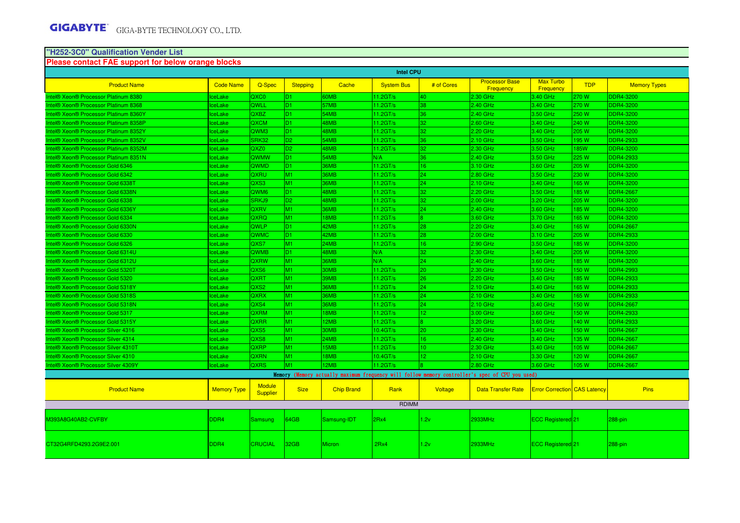# **"H252-3C0" Qualification Vender List Please contact FAE support for below orange blocks**

| <b>Intel CPU</b>                      |                    |                                  |                 |                   |                   |                 |                                                                                                 |                                     |            |                     |
|---------------------------------------|--------------------|----------------------------------|-----------------|-------------------|-------------------|-----------------|-------------------------------------------------------------------------------------------------|-------------------------------------|------------|---------------------|
| <b>Product Name</b>                   | <b>Code Name</b>   | Q-Spec                           | <b>Stepping</b> | Cache             | <b>System Bus</b> | # of Cores      | <b>Processor Base</b><br>Frequency                                                              | <b>Max Turbo</b><br>Frequency       | <b>TDP</b> | <b>Memory Types</b> |
| ntel® Xeon® Processor Platinum 8380   | ceLake             | QXC <sub>0</sub>                 | D <sub>1</sub>  | 60MB              | 11.2GT/s          | 40              | 2.30 GHz                                                                                        | 3.40 GHz                            | 270 W      | DDR4-3200           |
| Intel® Xeon® Processor Platinum 8368  | ceLake             | <b>QWLL</b>                      | D <sub>1</sub>  | 57MB              | 11.2GT/s          | 38              | 2.40 GHz                                                                                        | 3.40 GHz                            | 270 W      | DDR4-3200           |
| Intel® Xeon® Processor Platinum 8360Y | ceLake             | QXBZ                             | D <sub>1</sub>  | 54MB              | 11.2GT/s          | 36              | 2.40 GHz                                                                                        | 3.50 GHz                            | 250 W      | <b>DDR4-3200</b>    |
| Intel® Xeon® Processor Platinum 8358P | ceLake             | <b>QXCM</b>                      | ID1.            | 48MB              | 11.2GT/s          | 32              | 2.60 GHz                                                                                        | 3.40 GHz                            | 240 W      | DDR4-3200           |
| Intel® Xeon® Processor Platinum 8352Y | ceLake             | QWM3                             | D <sub>1</sub>  | 48MB              | 11.2GT/s          | 32              | 2.20 GHz                                                                                        | 3.40 GHz                            | 205 W      | <b>DDR4-3200</b>    |
| Intel® Xeon® Processor Platinum 8352V | ceLake             | SRK32                            | D <sub>2</sub>  | 54MB              | 11.2GT/s          | 36              | 2.10 GHz                                                                                        | 3.50 GHz                            | 195 W      | DDR4-2933           |
| Intel® Xeon® Processor Platinum 8352M | ceLake             | QXZ <sub>0</sub>                 | ID <sub>2</sub> | 48MB              | 11.2GT/s          | 32              | 2.30 GHz                                                                                        | 3.50 GHz                            | <b>85W</b> | DDR4-3200           |
| Intel® Xeon® Processor Platinum 8351N | ceLake             | <b>QWMW</b>                      | ID1.            | 54MB              | N/A               | 36              | 2.40 GHz                                                                                        | 3.50 GHz                            | 225W       | <b>DDR4-2933</b>    |
| Intel® Xeon® Processor Gold 6346      | ceLake             | <b>QWMD</b>                      | ID1.            | 36MB              | 11.2GT/s          | 16              | 3.10 GHz                                                                                        | 3.60 GHz                            | 205 W      | DDR4-3200           |
| Intel® Xeon® Processor Gold 6342      | ceLake             | QXRU                             | M <sub>1</sub>  | 36MB              | $11.2$ GT/s       | 24              | 2.80 GHz                                                                                        | 3.50 GHz                            | 230 W      | <b>DDR4-3200</b>    |
| Intel® Xeon® Processor Gold 6338T     | <b>IceLake</b>     | QXS3                             | M <sub>1</sub>  | 36MB              | 11.2GT/s          | $ 24\rangle$    | 2.10 GHz                                                                                        | 3.40 GHz                            | 165W       | <b>DDR4-3200</b>    |
| Intel® Xeon® Processor Gold 6338N     | ceLake             | QWM <sub>6</sub>                 | ID1             | 48MB              | 11.2GT/s          | 32              | 2.20 GHz                                                                                        | 3.50 GHz                            | 185W       | <b>DDR4-2667</b>    |
| Intel® Xeon® Processor Gold 6338      | ceLake             | SRKJ9                            | D <sub>2</sub>  | 48MB              | 11.2GT/s          | 32              | 2.00 GHz                                                                                        | 3.20 GHz                            | 205 W      | DDR4-3200           |
| Intel® Xeon® Processor Gold 6336Y     | ceLake             | <b>QXRV</b>                      | M1              | 36MB              | 11.2GT/s          | 24              | 2.40 GHz                                                                                        | 3.60 GHz                            | 185 W      | <b>DDR4-3200</b>    |
| Intel® Xeon® Processor Gold 6334      | ceLake             | QXRQ                             | M <sub>1</sub>  | 18MB              | 11.2GT/s          |                 | 3.60 GHz                                                                                        | 3.70 GHz                            | 165 W      | DDR4-3200           |
| Intel® Xeon® Processor Gold 6330N     | ceLake             | <b>QWLP</b>                      | D <sub>1</sub>  | 42MB              | 11.2GT/s          | 28              | 2.20 GHz                                                                                        | 3.40 GHz                            | 165 W      | <b>DDR4-2667</b>    |
| Intel® Xeon® Processor Gold 6330      | ceLake             | QWMC                             | D <sub>1</sub>  | 42MB              | 11.2GT/s          | 28              | 2.00 GHz                                                                                        | 3.10 GHz                            | 205 W      | DDR4-2933           |
| Intel® Xeon® Processor Gold 6326      | ceLake             | QXS7                             | M <sub>1</sub>  | 24MB              | $11.2$ GT/s       | 16              | 2.90 GHz                                                                                        | 3.50 GHz                            | <b>85W</b> | <b>DDR4-3200</b>    |
| Intel® Xeon® Processor Gold 6314U     | ceLake             | <b>QWMB</b>                      | ID1.            | 48MB              | N/A               | 32              | 2.30 GHz                                                                                        | 3.40 GHz                            | 205 W      | <b>DDR4-3200</b>    |
| Intel® Xeon® Processor Gold 6312U     | ceLake             | <b>QXRW</b>                      | M1              | 36MB              | N/A               | 24              | 2.40 GHz                                                                                        | 3.60 GHz                            | 185 W      | DDR4-3200           |
| Intel® Xeon® Processor Gold 5320T     | ceLake             | QXS6                             | M1              | 30MB              | $11.2$ GT/s       | 20              | 2.30 GHz                                                                                        | 3.50 GHz                            | 150W       | <b>DDR4-2993</b>    |
| Intel® Xeon® Processor Gold 5320      | ceLake             | <b>QXRT</b>                      | M <sub>1</sub>  | 39MB              | 11.2GT/s          | 26              | 2.20 GHz                                                                                        | 3.40 GHz                            | 185 W      | <b>DDR4-2933</b>    |
| Intel® Xeon® Processor Gold 5318Y     | ceLake             | QXS <sub>2</sub>                 | M <sub>1</sub>  | 36MB              | 11.2GT/s          | 24              | 2.10 GHz                                                                                        | 3.40 GHz                            | 165W       | <b>DDR4-2933</b>    |
| Intel® Xeon® Processor Gold 5318S     | ceLake             | <b>QXRX</b>                      | M <sub>1</sub>  | 36MB              | 11.2GT/s          | 24              | 2.10 GHz                                                                                        | 3.40 GHz                            | 165W       | <b>DDR4-2933</b>    |
| Intel® Xeon® Processor Gold 5318N     | ceLake             | QXS4                             | M <sub>1</sub>  | 36MB              | 11.2GT/s          | 24              | 2.10 GHz                                                                                        | 3.40 GHz                            | 150 W      | <b>DDR4-2667</b>    |
| Intel® Xeon® Processor Gold 5317      | ceLake             | <b>QXRM</b>                      | M <sub>1</sub>  | 18MB              | 11.2GT/s          | 12 <sup>°</sup> | 3.00 GHz                                                                                        | 3.60 GHz                            | 150 W      | <b>DDR4-2933</b>    |
| Intel® Xeon® Processor Gold 5315Y     | ceLake             | <b>QXRR</b>                      | M <sub>1</sub>  | 12MB              | $11.2$ GT/s       |                 | 3.20 GHz                                                                                        | 3.60 GHz                            | 140 W      | <b>DDR4-2933</b>    |
| Intel® Xeon® Processor Silver 4316    | ceLake             | QXS5                             | M <sub>1</sub>  | 30MB              | 10.4GT/s          | 20              | 2.30 GHz                                                                                        | 3.40 GHz                            | 150 W      | <b>DDR4-2667</b>    |
| Intel® Xeon® Processor Silver 4314    | ceLake             | QXS8                             | M <sub>1</sub>  | 24MB              | 11.2GT/s          | 16              | 2.40 GHz                                                                                        | 3.40 GHz                            | 135 W      | <b>DDR4-2667</b>    |
| Intel® Xeon® Processor Silver 4310T   | ceLake             | <b>QXRP</b>                      | M <sub>1</sub>  | 15MB              | 11.2GT/s          | 10 <sub>1</sub> | 2.30 GHz                                                                                        | 3.40 GHz                            | 105 W      | <b>DDR4-2667</b>    |
| ntel® Xeon® Processor Silver 4310     | ceLake             | <b>QXRN</b>                      | M <sub>1</sub>  | 18MB              | 10.4GT/s          | 12 <sub>1</sub> | 2.10 GHz                                                                                        | 3.30 GHz                            | 120 W      | <b>DDR4-2667</b>    |
| ntel® Xeon® Processor Silver 4309Y    | ceLake             | <b>QXRS</b>                      | M1              | 12MB              | $11.2$ GT/s       |                 | 2.80 GHz                                                                                        | 3.60 GHz                            | 105W       | <b>DDR4-2667</b>    |
|                                       |                    |                                  |                 |                   |                   |                 | Memory (Memory actually maximum frequency will follow memory controller's spec of CPU you used) |                                     |            |                     |
| <b>Product Name</b>                   | <b>Memory Type</b> | <b>Module</b><br><b>Supplier</b> | <b>Size</b>     | <b>Chip Brand</b> | Rank              | Voltage         | <b>Data Transfer Rate</b>                                                                       | <b>Error Correction</b> CAS Latency |            | <b>Pins</b>         |
|                                       |                    |                                  |                 |                   | <b>RDIMM</b>      |                 |                                                                                                 |                                     |            |                     |
| 1393A8G40AB2-CVFBY                    | DDR <sub>4</sub>   | Samsung                          | 64GB            | Samsung-IDT       | 2Rx4              | 1.2v            | 2933MHz                                                                                         | ECC Registered 21                   |            | 288-pin             |
| CT32G4RFD4293.2G9E2.001               | DDR <sub>4</sub>   | <b>CRUCIAL</b>                   | 32GB            | Micron            | 2Rx4              | 1.2v            | 2933MHz                                                                                         | ECC Registered 21                   |            | 288-pin             |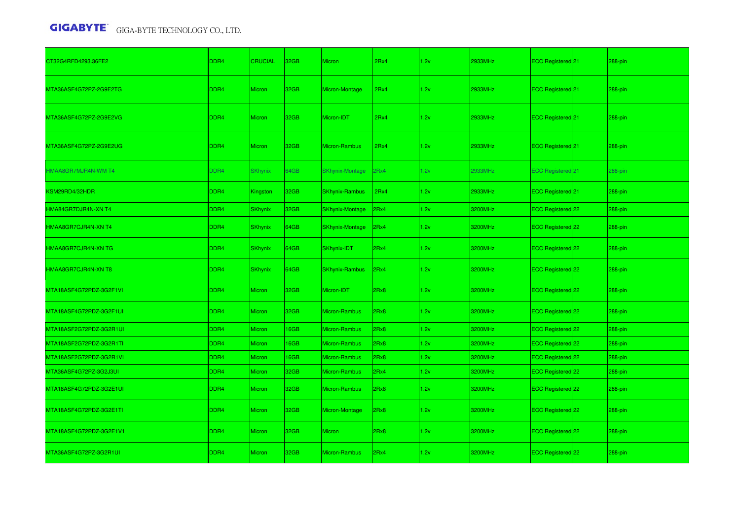| CT32G4RFD4293.36FE2        | DDR4             | <b>CRUCIAL</b>  | 32 <sub>GB</sub> | <b>Micron</b>          | 2Rx4 | 1.2v | 2933MHz | ECC Registered 21            | 288-pin |
|----------------------------|------------------|-----------------|------------------|------------------------|------|------|---------|------------------------------|---------|
| MTA36ASF4G72PZ-2G9E2TG     | DDR4             | Micron          | 32GB             | Micron-Montage         | 2Rx4 | 1.2v | 2933MHz | ECC Registered <sup>21</sup> | 288-pin |
| MTA36ASF4G72PZ-2G9E2VG     | DDR4             | <b>Micron</b>   | 32GB             | Micron-IDT             | 2Rx4 | 1.2v | 2933MHz | ECC Registered 21            | 288-pin |
| MTA36ASF4G72PZ-2G9E2UG     | DDR4             | Micron          | 32GB             | Micron-Rambus          | 2Rx4 | 1.2v | 2933MHz | ECC Registered 21            | 288-pin |
| <b>HMAA8GR7MJR4N-WM T4</b> | DDR4             | <b>SKhynix</b>  | 64GB             | <b>SKhynix-Montage</b> | 2Rx4 | 1.2v | 2933MHz | <b>ECC Registered 21</b>     | 288-pin |
| KSM29RD4/32HDR             | DDR <sub>4</sub> | <b>Kingston</b> | 32GB             | <b>SKhynix-Rambus</b>  | 2Rx4 | 1.2v | 2933MHz | ECC Registered <sup>21</sup> | 288-pin |
| HMA84GR7DJR4N-XN T4        | DDR4             | <b>SKhynix</b>  | 32GB             | <b>SKhynix-Montage</b> | 2Rx4 | 1.2v | 3200MHz | ECC Registered 22            | 288-pin |
| HMAA8GR7CJR4N-XN T4        | DDR <sub>4</sub> | <b>SKhynix</b>  | 64GB             | <b>SKhynix-Montage</b> | 2Rx4 | 1.2v | 3200MHz | ECC Registered 22            | 288-pin |
| HMAA8GR7CJR4N-XN TG        | DDR4             | <b>SKhynix</b>  | 64GB             | SKhynix-IDT            | 2Rx4 | 1.2v | 3200MHz | ECC Registered 22            | 288-pin |
| HMAA8GR7CJR4N-XN T8        | DDR <sub>4</sub> | <b>SKhynix</b>  | 64GB             | <b>SKhynix-Rambus</b>  | 2Rx4 | 1.2v | 3200MHz | ECC Registered 22            | 288-pin |
| MTA18ASF4G72PDZ-3G2F1VI    | DDR <sub>4</sub> | <b>Micron</b>   | 32 <sub>GB</sub> | Micron-IDT             | 2Rx8 | 1.2v | 3200MHz | ECC Registered 22            | 288-pin |
| MTA18ASF4G72PDZ-3G2F1UI    | DDR4             | <b>Micron</b>   | 32GB             | Micron-Rambus          | 2Rx8 | 1.2v | 3200MHz | ECC Registered 22            | 288-pin |
| MTA18ASF2G72PDZ-3G2R1UI    | DDR4             | <b>Micron</b>   | 16GB             | Micron-Rambus          | 2Rx8 | 1.2v | 3200MHz | ECC Registered 22            | 288-pin |
| MTA18ASF2G72PDZ-3G2R1TI    | DDR4             | Micron          | 16GB             | Micron-Rambus          | 2Rx8 | 1.2v | 3200MHz | ECC Registered 22            | 288-pin |
| MTA18ASF2G72PDZ-3G2R1VI    | DDR4             | Micron          | 16GB             | Micron-Rambus          | 2Rx8 | 1.2v | 3200MHz | ECC Registered 22            | 288-pin |
| MTA36ASF4G72PZ-3G2J3UI     | DDR4             | Micron          | 32GB             | Micron-Rambus          | 2Rx4 | 1.2v | 3200MHz | ECC Registered 22            | 288-pin |
| MTA18ASF4G72PDZ-3G2E1UI    | DDR <sub>4</sub> | <b>Micron</b>   | 32GB             | Micron-Rambus          | 2Rx8 | 1.2v | 3200MHz | ECC Registered 22            | 288-pin |
| MTA18ASF4G72PDZ-3G2E1TI    | DDR4             | <b>Micron</b>   | 32GB             | Micron-Montage         | 2Rx8 | 1.2v | 3200MHz | ECC Registered 22            | 288-pin |
| MTA18ASF4G72PDZ-3G2E1V1    | DDR4             | Micron          | 32GB             | <b>Micron</b>          | 2Rx8 | 1.2v | 3200MHz | ECC Registered <sup>22</sup> | 288-pin |
| MTA36ASF4G72PZ-3G2R1UI     | DDR <sub>4</sub> | <b>Micron</b>   | 32 <sub>GB</sub> | Micron-Rambus          | 2Rx4 | 1.2v | 3200MHz | ECC Registered 22            | 288-pin |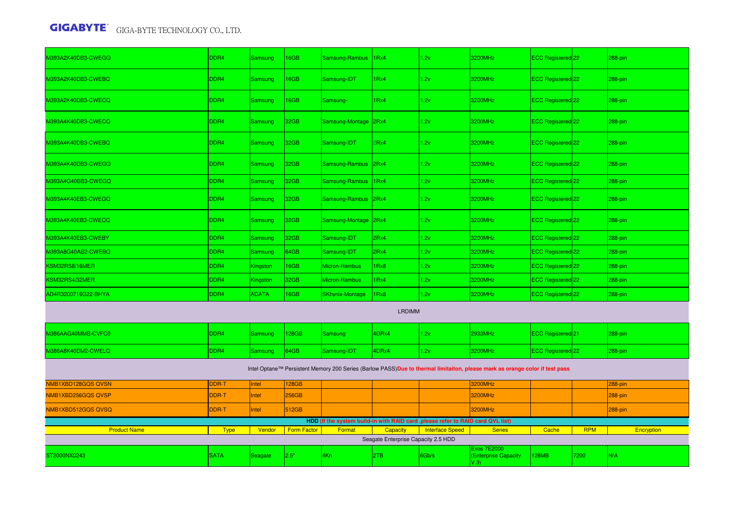| M393A2K40DB3-CWEGQ                                                                                                          | DDR4             | Samsung        | <b>16GB</b>        | Samsung-Rambus 1Rx4    |                                     | 1.2v                                                                             | 3200MHz                            | ECC Registered 22            |            | 288-pin    |  |  |
|-----------------------------------------------------------------------------------------------------------------------------|------------------|----------------|--------------------|------------------------|-------------------------------------|----------------------------------------------------------------------------------|------------------------------------|------------------------------|------------|------------|--|--|
| M393A2K40DB3-CWEBQ                                                                                                          | DDR4             | Samsung        | <b>16GB</b>        | Samsung-IDT            | 1Rx4                                | 1.2v                                                                             | 3200MHz                            | ECC Registered 22            |            | 288-pin    |  |  |
| M393A2K40DB3-CWECQ                                                                                                          | DDR4             | Samsung        | 16GB               | Samsung-               | 1Rx4                                | 1.2v                                                                             | 3200MHz                            | ECC Registered <sup>22</sup> |            | 288-pin    |  |  |
| M393A4K40DB3-CWECQ                                                                                                          | DDR4             | Samsung        | 32 <sub>GB</sub>   | Samsung-Montage        | l2Rx4                               | 1.2v                                                                             | 3200MHz                            | ECC Registered 22            |            | 288-pin    |  |  |
| M393A4K40DB3-CWEBQ                                                                                                          | DDR4             | <b>Samsung</b> | 32 <sub>GB</sub>   | Samsung-IDT            | 2Rx4                                | 1.2v                                                                             | 3200MHz                            | ECC Registered 22            |            | 288-pin    |  |  |
| M393A4K40DB3-CWEGQ                                                                                                          | DDR <sub>4</sub> | Samsung        | 32 <sub>GB</sub>   | Samsung-Rambus         | 2Rx4                                | 1.2v                                                                             | 3200MHz                            | ECC Registered 22            |            | 288-pin    |  |  |
| M393A4G40BB3-CWEGQ                                                                                                          | DDR4             | Samsung        | 32GB               | Samsung-Rambus         | 1Rx4                                | 1.2v                                                                             | 3200MHz                            | ECC Registered 22            |            | 288-pin    |  |  |
| M393A4K40EB3-CWEGQ                                                                                                          | DDR4             | Samsung        | 32GB               | Samsung-Rambus 2Rx4    |                                     | 1.2v                                                                             | 3200MHz                            | ECC Registered 22            |            | 288-pin    |  |  |
| M393A4K40EB3-CWECQ                                                                                                          | DDR4             | Samsung        | 32GB               | Samsung-Montage 2Rx4   |                                     | 1.2v                                                                             | 3200MHz                            | ECC Registered 22            |            | 288-pin    |  |  |
| M393A4K40EB3-CWEBY                                                                                                          | DDR4             | Samsung        | 32GB               | Samsung-IDT            | 2Rx4                                | 1.2v                                                                             | 3200MHz                            | ECC Registered 22            |            | 288-pin    |  |  |
| M393A8G40AB2-CWEBQ                                                                                                          | DDR4             | Samsung        | 64GB               | Samsung-IDT            | 2Rx4                                | 1.2v                                                                             | 3200MHz                            | ECC Registered 22            |            | 288-pin    |  |  |
| KSM32RS8/16MER                                                                                                              | DDR4             | Kingston       | 16GB               | Micron-Rambus          | 1Rx8                                | 1.2v                                                                             | 3200MHz                            | ECC Registered 22            |            | 288-pin    |  |  |
| SM32RS4/32MER                                                                                                               | DDR4             | Kingston       | 32GB               | Micron-Rambus          | 1Rx4                                | 1.2v                                                                             | 3200MHz                            | ECC Registered 22            |            | 288-pin    |  |  |
| AD4R3200716G22-BHYA                                                                                                         | DDR4             | <b>ADATA</b>   | 16GB               | <b>SKhynix-Montage</b> | Rx8                                 | 1.2v                                                                             | 3200MHz                            | ECC Registered 22            |            | 288-pin    |  |  |
| <b>LRDIMM</b>                                                                                                               |                  |                |                    |                        |                                     |                                                                                  |                                    |                              |            |            |  |  |
| M386AAG40MMB-CVFC0                                                                                                          | DDR4             | Samsung        | 128GB              | <b>Samsung</b>         | 4DRx4                               | 1.2v                                                                             | 2933MHz                            | ECC Registered <sup>21</sup> |            | 288-pin    |  |  |
| M386A8K40DM2-CWELQ                                                                                                          | DDR4             | <b>Samsung</b> | 64GB               | Samsung-IDT            | 4DRx4                               | 1.2v                                                                             | 3200MHz                            | ECC Registered 22            |            | 288-pin    |  |  |
| Intel Optane™ Persistent Memory 200 Series (Barlow PASS)Due to thermal limitaiton, please mark as orange color if test pass |                  |                |                    |                        |                                     |                                                                                  |                                    |                              |            |            |  |  |
| NMB1XBD128GQS QVSN                                                                                                          | DDR-T            | Intel          | 128GB              |                        |                                     |                                                                                  | 3200MHz                            |                              |            | 288-pin    |  |  |
| NMB1XBD256GQSQVSP                                                                                                           | DDR-T            | Intel          | 256GB              |                        |                                     |                                                                                  | 3200MHz                            |                              |            | 288-pin    |  |  |
| NMB1XBD512GQS QVSQ                                                                                                          | DDR-T            | Intel          | 512GB              |                        |                                     |                                                                                  | 3200MHz                            |                              |            | 288-pin    |  |  |
|                                                                                                                             |                  |                |                    |                        |                                     | HDD (If the system build-in with RAID card , please refer to RAID card QVL list) |                                    |                              |            |            |  |  |
| <b>Product Name</b>                                                                                                         | <b>Type</b>      | Vendor         | <b>Form Factor</b> | Format                 | Capacity                            | <b>Interface Speed</b>                                                           | <b>Series</b>                      | Cache                        | <b>RPM</b> | Encryption |  |  |
|                                                                                                                             |                  |                |                    |                        | Seagate Enterprise Capacity 2.5 HDD |                                                                                  | Exos 7E2000                        |                              |            |            |  |  |
| ST2000NX0243                                                                                                                | <b>SATA</b>      | Seagate        | 2.5"               | 4Kn                    | 2TB                                 | 6Gb/s                                                                            | <b>Enterprise Capacity</b><br>V.3) | <b>28MB</b>                  | 7200       | N/A        |  |  |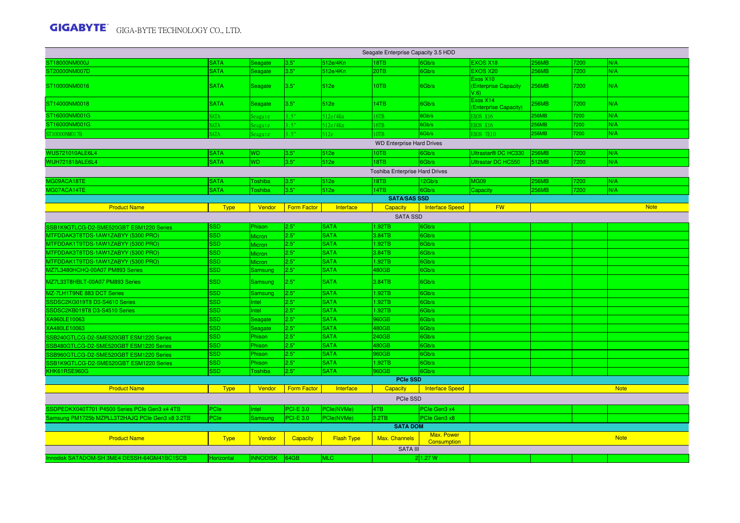| Seagate Enterprise Capacity 3.5 HDD             |             |                   |                    |                   |                     |                                  |                                          |       |      |             |  |  |
|-------------------------------------------------|-------------|-------------------|--------------------|-------------------|---------------------|----------------------------------|------------------------------------------|-------|------|-------------|--|--|
| ST18000NM000J                                   | <b>SATA</b> | Seagate           | 3.5"               | 512e/4Kn          | 18TB                | 6Gb/s                            | EXOS X18                                 | 256MB | 7200 | N/A         |  |  |
| ST20000NM007D                                   | <b>SATA</b> | Seagate           | 3.5"               | 512e/4Kn          | 20TB                | 6Gb/s                            | EXOS X20                                 | 256MB | 7200 | N/A         |  |  |
| ST10000NM0016                                   | <b>SATA</b> | Seagate           | 3.5"               | 512e              | 10TB                | 6Gb/s                            | Exos X10<br>(Enterprise Capacity<br>V.6) | 256MB | 7200 | N/A         |  |  |
| ST14000NM0018                                   | <b>SATA</b> | Seagate           | 3.5"               | 512e              | 14TB                | 6Gb/s                            | Exos X14<br>(Enterprise Capacity)        | 256MB | 7200 | N/A         |  |  |
| ST16000NM001G                                   | <b>SATA</b> | Seagate           | 3.5"               | 512e/4Kn          | 16TB                | 6Gb/s                            | <b>EXOS X16</b>                          | 256MB | 7200 | N/A         |  |  |
| ST16000NM001G                                   | SATA        | Seagate           | 3.5"               | 512e/4Kn          | 16TB                | 6Gb/s                            | EXOS X16                                 | 256MB | 7200 | N/A         |  |  |
| ST10000NM017B                                   | <b>SATA</b> | Seagate           | 3.5"               | 512e              | OTB                 | 6Gb/s                            | <b>EXOS 7E10</b>                         | 256MB | 7200 | N/A         |  |  |
| <b>WD Enterprise Hard Drives</b>                |             |                   |                    |                   |                     |                                  |                                          |       |      |             |  |  |
| <b>WUS721010ALE6L4</b>                          | <b>SATA</b> | WD                | 3.5"               | 512e              | 10TB                | 6Gb/s                            | Ultrastar® DC HC330                      | 256MB | 7200 | N/A         |  |  |
| <b>WUH721818ALE6L4</b>                          | <b>SATA</b> | <b>WD</b>         | 3.5"               | 512e              | 18TB                | 6Gb/s                            | <b>Ultrastar DC HC550</b>                | 512MB | 7200 | N/A         |  |  |
| Toshiba Enterprise Hard Drives                  |             |                   |                    |                   |                     |                                  |                                          |       |      |             |  |  |
| MG09ACA18TE                                     | <b>SATA</b> | <b>Toshiba</b>    | 3.5"               | 512e              | 18TB                | 12Gb/s                           | <b>MG09</b>                              | 256MB | 7200 | N/A         |  |  |
| MG07ACA14TE                                     | <b>SATA</b> | <b>Toshiba</b>    | 3.5"               | 512e              | 14TB                | 6Gb/s                            | Capacity                                 | 256MB | 7200 | N/A         |  |  |
|                                                 |             |                   |                    |                   | <b>SATA/SAS SSD</b> |                                  |                                          |       |      |             |  |  |
| <b>Product Name</b>                             | <b>Type</b> | Vendor            | <b>Form Factor</b> | Interface         | <b>Capacity</b>     | <b>Interface Speed</b>           | <b>FW</b>                                |       |      | <b>Note</b> |  |  |
| <b>SATA SSD</b>                                 |             |                   |                    |                   |                     |                                  |                                          |       |      |             |  |  |
| SSB1K9GTLCG-D2-SME520GBT ESM1220 Series         | <b>SSD</b>  | Phison            | 2.5"               | <b>SATA</b>       | 1.92TB              | 6Gb/s                            |                                          |       |      |             |  |  |
| MTFDDAK3T8TDS-1AW1ZABYY (5300 PRO)              | <b>SSD</b>  | Micron            | 2.5"               | <b>SATA</b>       | 3.84TB              | 6Gb/s                            |                                          |       |      |             |  |  |
| MTFDDAK1T9TDS-1AW1ZABYY (5300 PRO)              | <b>SSD</b>  | Micron            | 2.5"               | <b>SATA</b>       | 1.92TB              | 6Gb/s                            |                                          |       |      |             |  |  |
| MTFDDAK3T8TDS-1AW1ZABYY (5300 PRO)              | <b>SSD</b>  | Micron            | 2.5"               | <b>SATA</b>       | 3.84TB              | 6Gb/s                            |                                          |       |      |             |  |  |
| MTFDDAK1T9TDS-1AW1ZABYY (5300 PRO)              | <b>SSD</b>  | Micron            | 2.5"               | <b>SATA</b>       | 1.92TB              | 6Gb/s                            |                                          |       |      |             |  |  |
| MZ7L3480HCHQ-00A07 PM893 Series                 | <b>SSD</b>  | Samsung           | 2.5"               | <b>SATA</b>       | 480GB               | 6Gb/s                            |                                          |       |      |             |  |  |
| MZ7L33T8HBLT-00A07 PM893 Series                 | <b>SSD</b>  | <b>Samsung</b>    | 2.5"               | <b>SATA</b>       | 3.84TB              | 6Gb/s                            |                                          |       |      |             |  |  |
| MZ-7LH1T9NE 883 DCT Series                      | <b>SSD</b>  | Samsung           | 2.5"               | <b>SATA</b>       | 1.92TB              | 6Gb/s                            |                                          |       |      |             |  |  |
| SSDSC2KG019T8 D3-S4610 Series                   | <b>SSD</b>  | Intel             | 2.5"               | <b>SATA</b>       | .92TB               | 6Gb/s                            |                                          |       |      |             |  |  |
| SSDSC2KB019T8 D3-S4510 Series                   | <b>SSD</b>  | Intel             | 2.5"               | <b>SATA</b>       | 1.92TB              | 6Gb/s                            |                                          |       |      |             |  |  |
| XA960LE10063                                    | <b>SSD</b>  | Seagate           | 2.5"               | <b>SATA</b>       | 960GB               | 6Gb/s                            |                                          |       |      |             |  |  |
| XA480LE10063                                    | <b>SSD</b>  | Seagate           | 2.5"               | <b>SATA</b>       | 480GB               | 6Gb/s                            |                                          |       |      |             |  |  |
| SSB240GTLCG-D2-SME520GBT ESM1220 Series         | <b>SSD</b>  | Phison            | 2.5"               | <b>SATA</b>       | 240GB               | 6Gb/s                            |                                          |       |      |             |  |  |
| SSB480GTLCG-D2-SME520GBT ESM1220 Series         | <b>SSD</b>  | Phison            | 2.5"               | <b>SATA</b>       | 480GB               | 6Gb/s                            |                                          |       |      |             |  |  |
| SSB960GTLCG-D2-SME520GBT ESM1220 Series         | <b>SSD</b>  | hison <sup></sup> | 2.5"               | <b>SATA</b>       | 960GB               | 6Gb/s                            |                                          |       |      |             |  |  |
| SSB1K9GTLCG-D2-SME520GBT ESM1220 Series         | <b>SSD</b>  | Phison            | 2.5"               | <b>SATA</b>       | 1.92TB              | 6Gb/s                            |                                          |       |      |             |  |  |
| KHK61RSE960G                                    | <b>SSD</b>  | Toshiba           | 2.5"               | <b>SATA</b>       | 960GB               | 6Gb/s                            |                                          |       |      |             |  |  |
|                                                 |             |                   |                    |                   | <b>PCIe SSD</b>     |                                  |                                          |       |      |             |  |  |
| <b>Product Name</b>                             | <b>Type</b> | Vendor            | <b>Form Factor</b> | Interface         | Capacity            | <b>Interface Speed</b>           |                                          |       |      | <b>Note</b> |  |  |
|                                                 |             |                   |                    |                   | PCIe SSD            |                                  |                                          |       |      |             |  |  |
| SSDPEDKX040T701 P4500 Series PCIe Gen3 x4 4TB   | PCIe        | Intel             | PCI-E 3.0          | PCle(NVMe)        | 4TB                 | PCIe Gen3 x4                     |                                          |       |      |             |  |  |
| Samsung PM1725b MZPLL3T2HAJQ PCIe Gen3 x8 3.2TB | PCle        | Samsung           | <b>PCI-E 3.0</b>   | PCle(NVMe)        | 3.2TB               | PCle Gen3 x8                     |                                          |       |      |             |  |  |
|                                                 |             |                   |                    |                   | <b>SATA DOM</b>     |                                  |                                          |       |      |             |  |  |
| <b>Product Name</b>                             | <b>Type</b> | Vendor            | <b>Capacity</b>    | <b>Flash Type</b> | Max. Channels       | Max. Power<br><b>Consumption</b> |                                          |       |      | <b>Note</b> |  |  |
|                                                 |             |                   |                    |                   | <b>SATA III</b>     |                                  |                                          |       |      |             |  |  |
| Innodisk SATADOM-SH 3ME4 DESSH-64GM41BC1SCB     | Horizontal  | INNODISK 64GB     |                    | MLC:              |                     | 2 1.27 W                         |                                          |       |      |             |  |  |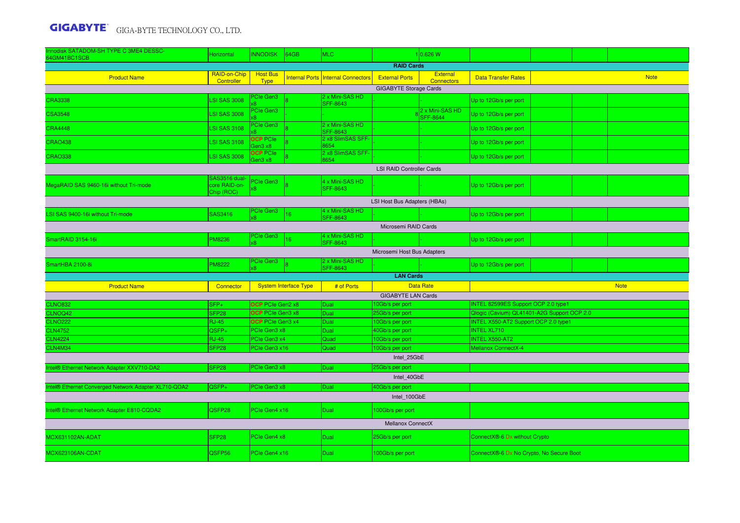| Innodisk SATADOM-SH TYPE C 3ME4 DESSC-<br>64GM41BC1SCB | Horizontal                    | <b>INNODISK</b>                             | 64GB                         | MLC.                                      |                                    | 1 0.626 W                          |                                                                                    |  |  |             |  |  |
|--------------------------------------------------------|-------------------------------|---------------------------------------------|------------------------------|-------------------------------------------|------------------------------------|------------------------------------|------------------------------------------------------------------------------------|--|--|-------------|--|--|
|                                                        |                               |                                             |                              |                                           | <b>RAID Cards</b>                  |                                    |                                                                                    |  |  |             |  |  |
| <b>Product Name</b>                                    | RAID-on-Chip<br>Controller    | <b>Host Bus</b><br><b>Type</b>              |                              | <b>Internal Ports Internal Connectors</b> | <b>External Ports</b>              | External<br><b>Connectors</b>      | <b>Data Transfer Rates</b>                                                         |  |  | <b>Note</b> |  |  |
| <b>GIGABYTE Storage Cards</b>                          |                               |                                             |                              |                                           |                                    |                                    |                                                                                    |  |  |             |  |  |
| <b>CRA3338</b>                                         | <b>LSI SAS 3008</b>           | <b>PCle Gen3</b>                            |                              | 2 x Mini-SAS HD<br><b>SFF-8643</b>        |                                    |                                    | Up to 12Gb/s per port                                                              |  |  |             |  |  |
| <b>CSA3548</b>                                         | <b>LSI SAS 3008</b>           | <b>PCIe Gen3</b>                            |                              |                                           |                                    | 2 x Mini-SAS HD<br><b>SFF-8644</b> | Up to 12Gb/s per port                                                              |  |  |             |  |  |
| <b>CRA4448</b>                                         | <b>LSI SAS 3108</b>           | <b>Cle Gen3</b>                             |                              | 2 x Mini-SAS HD<br><b>SFF-8643</b>        |                                    |                                    | Up to 12Gb/s per port                                                              |  |  |             |  |  |
| <b>CRAO438</b>                                         | <b>LSI SAS 3108</b>           | <b>OCP</b> PCIe<br>en3 x8                   |                              | 2 x8 SlimSAS SFF-<br>8654                 |                                    |                                    | Up to 12Gb/s per port                                                              |  |  |             |  |  |
| <b>CRAO338</b>                                         | <b>LSI SAS 3008</b>           | <b>OCP PCIe</b><br>aen3 x8                  |                              | 2 x8 SlimSAS SFF-<br>8654                 |                                    |                                    | Up to 12Gb/s per port                                                              |  |  |             |  |  |
| <b>LSI RAID Controller Cards</b>                       |                               |                                             |                              |                                           |                                    |                                    |                                                                                    |  |  |             |  |  |
| MegaRAID SAS 9460-16i without Tri-mode                 | SAS3516 dual<br>core RAID-on- | <b>Cle Gen3</b>                             |                              | 4 x Mini-SAS HD                           |                                    |                                    | Up to 12Gb/s per port                                                              |  |  |             |  |  |
|                                                        | Chip (ROC)                    |                                             |                              | <b>SFF-8643</b>                           |                                    |                                    |                                                                                    |  |  |             |  |  |
| LSI Host Bus Adapters (HBAs)                           |                               |                                             |                              |                                           |                                    |                                    |                                                                                    |  |  |             |  |  |
| LSI SAS 9400-16i without Tri-mode                      | SAS3416                       | <b>PCIe Gen3</b><br>k8.                     | 16                           | 4 x Mini-SAS HD<br><b>SFF-8643</b>        |                                    |                                    | Up to 12Gb/s per port                                                              |  |  |             |  |  |
| Microsemi RAID Cards                                   |                               |                                             |                              |                                           |                                    |                                    |                                                                                    |  |  |             |  |  |
| SmartRAID 3154-16i                                     | <b>PM8236</b>                 | <b>PCIe Gen3</b><br>ß.                      | 16                           | 4 x Mini-SAS HD<br>SFF-8643               |                                    |                                    | Up to 12Gb/s per port                                                              |  |  |             |  |  |
| Microsemi Host Bus Adapters                            |                               |                                             |                              |                                           |                                    |                                    |                                                                                    |  |  |             |  |  |
| SmartHBA 2100-8i                                       | <b>PM8222</b>                 | PCIe Gen3<br>x8                             |                              | 2 x Mini-SAS HD<br><b>SFF-8643</b>        |                                    |                                    | Up to 12Gb/s per port                                                              |  |  |             |  |  |
|                                                        |                               |                                             |                              |                                           | <b>LAN Cards</b>                   |                                    |                                                                                    |  |  |             |  |  |
| <b>Product Name</b>                                    | Connector                     |                                             | <b>System Interface Type</b> | # of Ports                                |                                    | <b>Data Rate</b>                   | <b>Note</b>                                                                        |  |  |             |  |  |
|                                                        |                               |                                             |                              |                                           | <b>GIGABYTE LAN Cards</b>          |                                    |                                                                                    |  |  |             |  |  |
| <b>CLNO832</b><br>CLNOQ42                              | $SFP+$<br>SFP <sub>28</sub>   | <b>OCP</b> PCIe Gen2 x8<br>OCP PCIe Gen3 x8 |                              | Dual<br>Dual                              | 10Gb/s per port<br>25Gb/s per port |                                    | INTEL 82599ES Support OCP 2.0 type1<br>Qlogic (Cavium) QL41401-A2G Support OCP 2.0 |  |  |             |  |  |
| <b>CLNO222</b>                                         | <b>RJ-45</b>                  | OCP PCIe Gen3 x4                            |                              | Dual                                      | 10Gb/s per port                    |                                    | INTEL X550-AT2 Support OCP 2.0 type1                                               |  |  |             |  |  |
| <b>CLN4752</b>                                         | QSFP+                         | PCIe Gen3 x8                                |                              | Dual                                      | 40Gb/s per port                    |                                    | <b>INTEL XL710</b>                                                                 |  |  |             |  |  |
| <b>CLN4224</b>                                         | <b>RJ-45</b>                  | PCIe Gen3 x4                                |                              | Quad                                      | 10Gb/s per port                    |                                    | <b>INTEL X550-AT2</b>                                                              |  |  |             |  |  |
| CLN4M34                                                | SFP <sub>28</sub>             | PCIe Gen3 x16                               |                              | Quad                                      | 10Gb/s per port                    |                                    | <b>Mellanox ConnectX-4</b>                                                         |  |  |             |  |  |
| Intel 25GbE                                            |                               |                                             |                              |                                           |                                    |                                    |                                                                                    |  |  |             |  |  |
| Intel® Ethernet Network Adapter XXV710-DA2             | SFP <sub>28</sub>             | PCIe Gen3 x8                                |                              | Dual                                      | 25Gb/s per port<br>Intel 40GbE     |                                    |                                                                                    |  |  |             |  |  |
| Intel® Ethernet Converged Network Adapter XL710-QDA2   | QSFP+                         | PCIe Gen3 x8                                |                              | Dual                                      | 40Gb/s per port                    |                                    |                                                                                    |  |  |             |  |  |
|                                                        |                               |                                             |                              |                                           | Intel 100GbE                       |                                    |                                                                                    |  |  |             |  |  |
| Intel® Ethernet Network Adapter E810-CQDA2             | QSFP28                        | PCIe Gen4 x16                               |                              | Dual                                      | 100Gb/s per port                   |                                    |                                                                                    |  |  |             |  |  |
|                                                        |                               |                                             |                              |                                           | <b>Mellanox ConnectX</b>           |                                    |                                                                                    |  |  |             |  |  |
| MCX631102AN-ADAT                                       | SFP28                         | PCIe Gen4 x8                                |                              | Dual                                      | 25Gb/s per port                    |                                    |                                                                                    |  |  |             |  |  |
| MCX623106AN-CDAT<br><b>QSFP56</b>                      |                               |                                             |                              |                                           |                                    |                                    | ConnectX®-6 Dx without Crypto<br>ConnectX®-6 Dx No Crypto, No Secure Boot          |  |  |             |  |  |